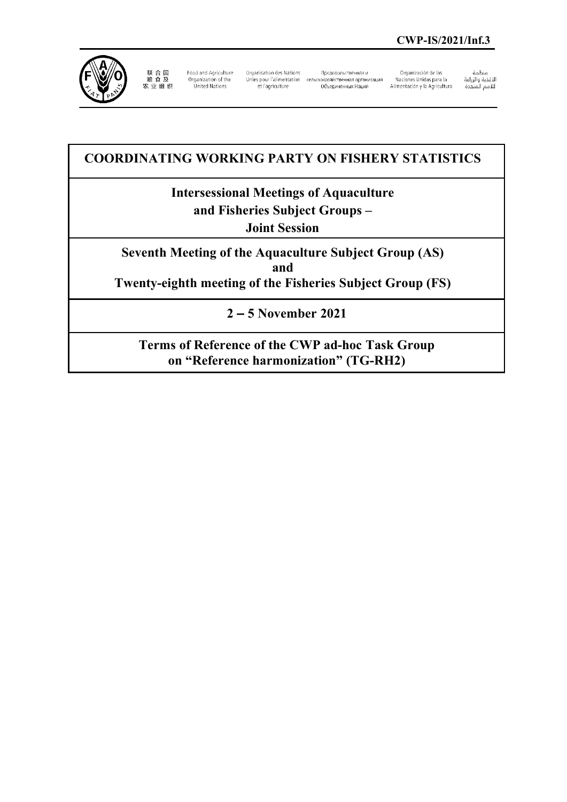

联 合 国<br>粮 食 及<br>农 业 组 织

Food and Agriculture Organization of the<br>United Nations

Organisation des Nations Unies pour l'alimentation сельскохозяйственная организация et l'agriculture

Продовольственная и 

Organización de las Naciones Unidas para la Alimentación y la Agricultura منظمة

سييسه<br>الأغذية والزراعة<br>للأمم المتحدة

# **COORDINATING WORKING PARTY ON FISHERY STATISTICS**

# **Intersessional Meetings of Aquaculture and Fisheries Subject Groups –**

**Joint Session**

**Seventh Meeting of the Aquaculture Subject Group (AS) and Twenty-eighth meeting of the Fisheries Subject Group (FS)**

**2 – 5 November 2021**

**Terms of Reference of the CWP ad-hoc Task Group on "Reference harmonization" (TG-RH2)**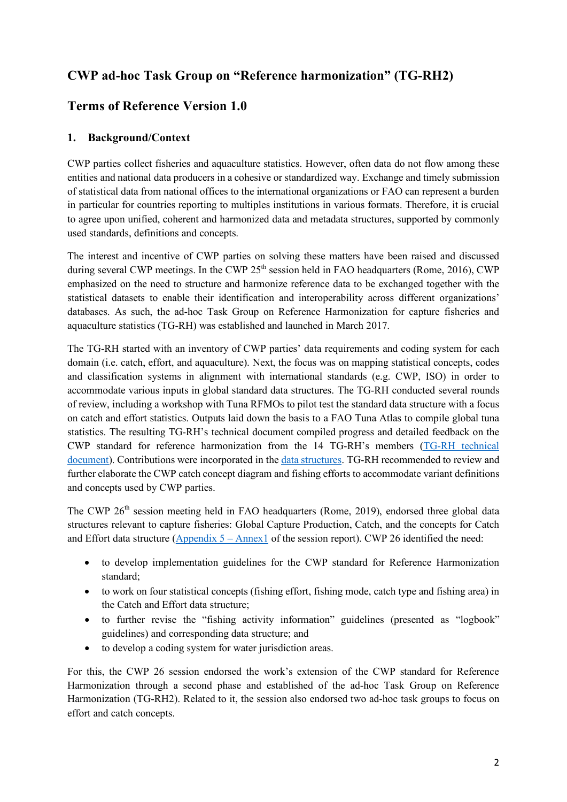# **CWP ad-hoc Task Group on "Reference harmonization" (TG-RH2)**

# **Terms of Reference Version 1.0**

### **1. Background/Context**

CWP parties collect fisheries and aquaculture statistics. However, often data do not flow among these entities and national data producers in a cohesive or standardized way. Exchange and timely submission of statistical data from national offices to the international organizations or FAO can represent a burden in particular for countries reporting to multiples institutions in various formats. Therefore, it is crucial to agree upon unified, coherent and harmonized data and metadata structures, supported by commonly used standards, definitions and concepts.

The interest and incentive of CWP parties on solving these matters have been raised and discussed during several CWP meetings. In the CWP  $25<sup>th</sup>$  session held in FAO headquarters (Rome, 2016), CWP emphasized on the need to structure and harmonize reference data to be exchanged together with the statistical datasets to enable their identification and interoperability across different organizations' databases. As such, the ad-hoc Task Group on Reference Harmonization for capture fisheries and aquaculture statistics (TG-RH) was established and launched in March 2017.

The TG-RH started with an inventory of CWP parties' data requirements and coding system for each domain (i.e. catch, effort, and aquaculture). Next, the focus was on mapping statistical concepts, codes and classification systems in alignment with international standards (e.g. CWP, ISO) in order to accommodate various inputs in global standard data structures. The TG-RH conducted several rounds of review, including a workshop with Tuna RFMOs to pilot test the standard data structure with a focus on catch and effort statistics. Outputs laid down the basis to a FAO Tuna Atlas to compile global tuna statistics. The resulting TG-RH's technical document compiled progress and detailed feedback on the CWP standard for reference harmonization from the 14 TG-RH's members [\(TG-RH technical](http://www.fao.org/fi/static-media/MeetingDocuments/cwp/cwp_26/5e.pdf)  [document\)](http://www.fao.org/fi/static-media/MeetingDocuments/cwp/cwp_26/5e.pdf). Contributions were incorporated in the [data structures.](http://www.fao.org/fi/static-media/MeetingDocuments/cwp/cwp_26/CWP-Ref-Harm-V5.0.xlsx) TG-RH recommended to review and further elaborate the CWP catch concept diagram and fishing efforts to accommodate variant definitions and concepts used by CWP parties.

The CWP 26<sup>th</sup> session meeting held in FAO headquarters (Rome, 2019), endorsed three global data structures relevant to capture fisheries: Global Capture Production, Catch, and the concepts for Catch and Effort data structure [\(Appendix 5 –](http://www.fao.org/3/ca6684en/ca6684en.pdf) Annex1 of the session report). CWP 26 identified the need:

- to develop implementation guidelines for the CWP standard for Reference Harmonization standard;
- to work on four statistical concepts (fishing effort, fishing mode, catch type and fishing area) in the Catch and Effort data structure;
- to further revise the "fishing activity information" guidelines (presented as "logbook" guidelines) and corresponding data structure; and
- to develop a coding system for water jurisdiction areas.

For this, the CWP 26 session endorsed the work's extension of the CWP standard for Reference Harmonization through a second phase and established of the ad-hoc Task Group on Reference Harmonization (TG-RH2). Related to it, the session also endorsed two ad-hoc task groups to focus on effort and catch concepts.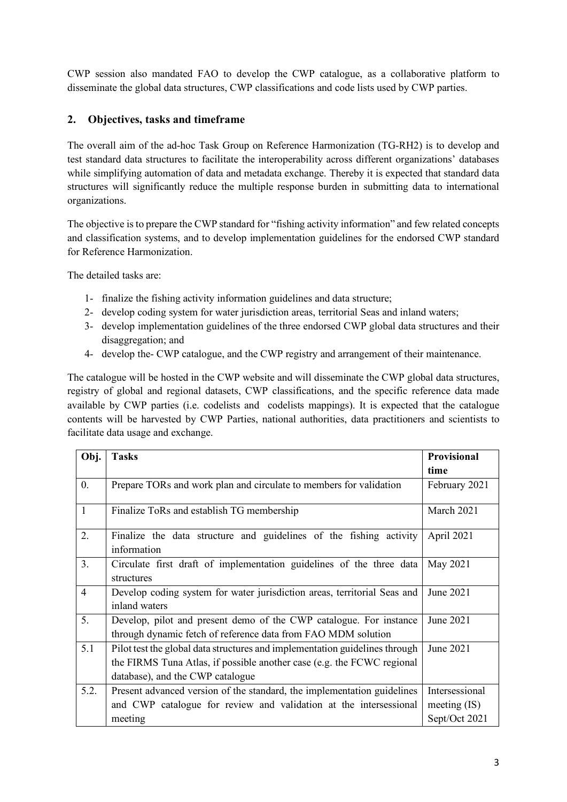CWP session also mandated FAO to develop the CWP catalogue, as a collaborative platform to disseminate the global data structures, CWP classifications and code lists used by CWP parties.

## **2. Objectives, tasks and timeframe**

The overall aim of the ad-hoc Task Group on Reference Harmonization (TG-RH2) is to develop and test standard data structures to facilitate the interoperability across different organizations' databases while simplifying automation of data and metadata exchange. Thereby it is expected that standard data structures will significantly reduce the multiple response burden in submitting data to international organizations.

The objective is to prepare the CWP standard for "fishing activity information" and few related concepts and classification systems, and to develop implementation guidelines for the endorsed CWP standard for Reference Harmonization.

The detailed tasks are:

- 1- finalize the fishing activity information guidelines and data structure;
- 2- develop coding system for water jurisdiction areas, territorial Seas and inland waters;
- 3- develop implementation guidelines of the three endorsed CWP global data structures and their disaggregation; and
- 4- develop the- CWP catalogue, and the CWP registry and arrangement of their maintenance.

The catalogue will be hosted in the CWP website and will disseminate the CWP global data structures, registry of global and regional datasets, CWP classifications, and the specific reference data made available by CWP parties (i.e. codelists and codelists mappings). It is expected that the catalogue contents will be harvested by CWP Parties, national authorities, data practitioners and scientists to facilitate data usage and exchange.

| Obj.             | <b>Tasks</b>                                                                | Provisional    |
|------------------|-----------------------------------------------------------------------------|----------------|
|                  |                                                                             | time           |
| $\overline{0}$ . | Prepare TORs and work plan and circulate to members for validation          | February 2021  |
| $\mathbf{1}$     |                                                                             | March 2021     |
|                  | Finalize ToRs and establish TG membership                                   |                |
| 2.               | Finalize the data structure and guidelines of the fishing activity          | April 2021     |
|                  | information                                                                 |                |
| 3.               | Circulate first draft of implementation guidelines of the three data        | May 2021       |
|                  | structures                                                                  |                |
| $\overline{4}$   | Develop coding system for water jurisdiction areas, territorial Seas and    | June 2021      |
|                  | inland waters                                                               |                |
| 5.               | Develop, pilot and present demo of the CWP catalogue. For instance          | June 2021      |
|                  | through dynamic fetch of reference data from FAO MDM solution               |                |
| 5.1              | Pilot test the global data structures and implementation guidelines through | June 2021      |
|                  | the FIRMS Tuna Atlas, if possible another case (e.g. the FCWC regional      |                |
|                  | database), and the CWP catalogue                                            |                |
| 5.2.             | Present advanced version of the standard, the implementation guidelines     | Intersessional |
|                  | and CWP catalogue for review and validation at the intersessional           | meeting $(IS)$ |
|                  | meeting                                                                     | Sept/Oct 2021  |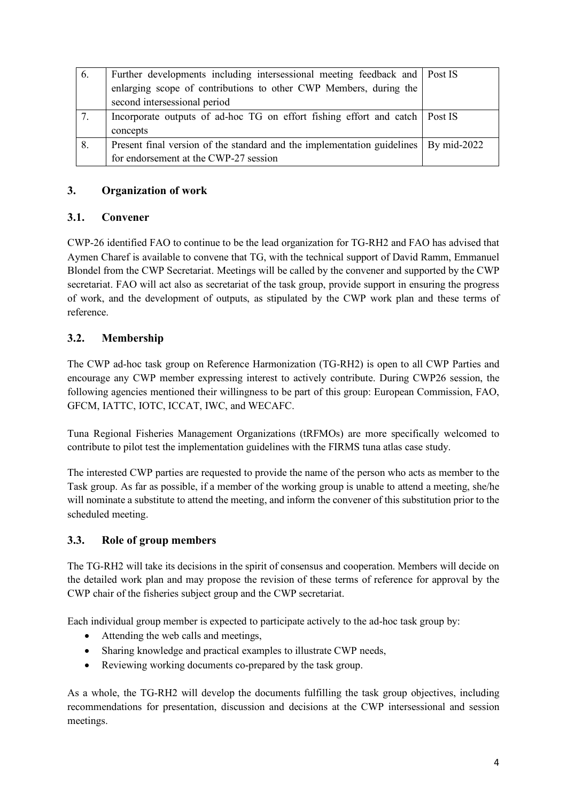| 6. | Further developments including intersessional meeting feedback and Post IS            |  |
|----|---------------------------------------------------------------------------------------|--|
|    | enlarging scope of contributions to other CWP Members, during the                     |  |
|    | second intersessional period                                                          |  |
| 7. | Incorporate outputs of ad-hoc TG on effort fishing effort and catch   Post IS         |  |
|    | concepts                                                                              |  |
| 8. | Present final version of the standard and the implementation guidelines   By mid-2022 |  |
|    | for endorsement at the CWP-27 session                                                 |  |

## **3. Organization of work**

#### **3.1. Convener**

CWP-26 identified FAO to continue to be the lead organization for TG-RH2 and FAO has advised that Aymen Charef is available to convene that TG, with the technical support of David Ramm, Emmanuel Blondel from the CWP Secretariat. Meetings will be called by the convener and supported by the CWP secretariat. FAO will act also as secretariat of the task group, provide support in ensuring the progress of work, and the development of outputs, as stipulated by the CWP work plan and these terms of reference.

## **3.2. Membership**

The CWP ad-hoc task group on Reference Harmonization (TG-RH2) is open to all CWP Parties and encourage any CWP member expressing interest to actively contribute. During CWP26 session, the following agencies mentioned their willingness to be part of this group: European Commission, FAO, GFCM, IATTC, IOTC, ICCAT, IWC, and WECAFC.

Tuna Regional Fisheries Management Organizations (tRFMOs) are more specifically welcomed to contribute to pilot test the implementation guidelines with the FIRMS tuna atlas case study.

The interested CWP parties are requested to provide the name of the person who acts as member to the Task group. As far as possible, if a member of the working group is unable to attend a meeting, she/he will nominate a substitute to attend the meeting, and inform the convener of this substitution prior to the scheduled meeting.

### **3.3. Role of group members**

The TG-RH2 will take its decisions in the spirit of consensus and cooperation. Members will decide on the detailed work plan and may propose the revision of these terms of reference for approval by the CWP chair of the fisheries subject group and the CWP secretariat.

Each individual group member is expected to participate actively to the ad-hoc task group by:

- Attending the web calls and meetings,
- Sharing knowledge and practical examples to illustrate CWP needs,
- Reviewing working documents co-prepared by the task group.

As a whole, the TG-RH2 will develop the documents fulfilling the task group objectives, including recommendations for presentation, discussion and decisions at the CWP intersessional and session meetings.